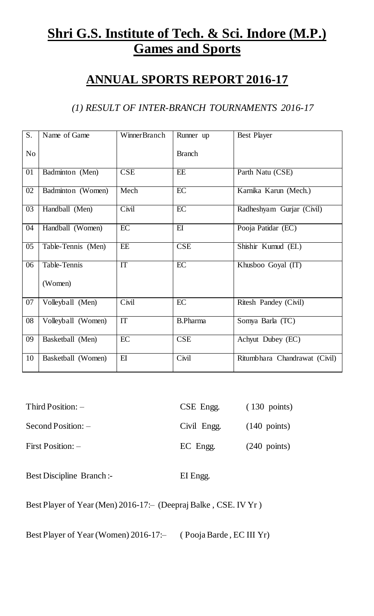# **Shri G.S. Institute of Tech. & Sci. Indore (M.P.) Games and Sports**

## **ANNUAL SPORTS REPORT 2016-17**

#### *(1) RESULT OF INTER-BRANCH TOURNAMENTS 2016-17*

| S.              | Name of Game       | WinnerBranch           | Runner up               | Best Player                   |
|-----------------|--------------------|------------------------|-------------------------|-------------------------------|
| N <sub>o</sub>  |                    |                        | <b>Branch</b>           |                               |
| 01              | Badminton (Men)    | <b>CSE</b>             | EE                      | Parth Natu (CSE)              |
| 02              | Badminton (Women)  | Mech                   | $\overline{EC}$         | Karnika Karun (Mech.)         |
| $\overline{03}$ | Handball (Men)     | Civil                  | $\overline{EC}$         | Radheshyam Gurjar (Civil)     |
| 04              | Handball (Women)   | $\overline{EC}$        | E                       | Pooja Patidar (EC)            |
| 05              | Table-Tennis (Men) | EE                     | $\overline{\text{CSE}}$ | Shishir Kumud (EI.)           |
| 06              | Table-Tennis       | $\overline{\text{IT}}$ | $\overline{EC}$         | Khusboo Goyal (IT)            |
|                 | (Women)            |                        |                         |                               |
| 07              | Volleyball (Men)   | Civil                  | EC                      | Ritesh Pandey (Civil)         |
| 08              | Volleyball (Women) | IT                     | <b>B.Pharma</b>         | Somya Barla (TC)              |
| 09              | Basketball (Men)   | EC                     | <b>CSE</b>              | Achyut Dubey (EC)             |
| 10              | Basketball (Women) | E                      | Civil                   | Ritumbhara Chandrawat (Civil) |

| $Third Position: -$  | CSE Engg.   | $(130 \text{ points})$ |
|----------------------|-------------|------------------------|
| $Second Position: -$ | Civil Engg. | $(140 \text{ points})$ |
| First Position: -    | EC Engg.    | $(240 \text{ points})$ |

Best Discipline Branch :- EI Engg.

Best Player of Year (Men) 2016-17: – (Deepraj Balke, CSE. IV Yr)

Best Player of Year (Women) 2016-17:- (Pooja Barde, EC III Yr)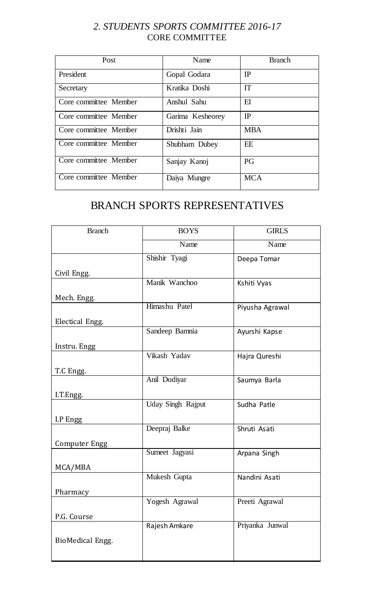#### *2. STUDENTS SPORTS COMMITTEE 2016-17* CORE COMMITTEE

| Post                  | Name             | <b>Branch</b> |
|-----------------------|------------------|---------------|
| President             | Gopal Godara     | IP            |
| Secretary             | Kratika Doshi    | <b>IT</b>     |
| Core committee Member | Anshul Sahu      | $E$ I         |
| Core committee Member | Garima Kesheorey | IP            |
| Core committee Member | Drishti Jain     | <b>MBA</b>    |
| Core committee Member | Shubham Dubey    | EE            |
| Core committee Member | Sanjay Kanoj     | PG            |
| Core committee Member | Daiya Mungre     | <b>MCA</b>    |

### BRANCH SPORTS REPRESENTATIVES

| <b>Branch</b>    | <b>BOYS</b>              | <b>GIRLS</b>    |  |
|------------------|--------------------------|-----------------|--|
|                  | Name                     | Name            |  |
|                  | Shishir Tyagi            | Deepa Tomar     |  |
| Civil Engg.      |                          |                 |  |
|                  | Manik Wanchoo            | Kshiti Vyas     |  |
| Mech. Engg.      |                          |                 |  |
|                  | Himashu Patel            | Piyusha Agrawal |  |
| Electical Engg.  |                          |                 |  |
|                  | Sandeep Bamnia           | Ayurshi Kapse   |  |
| Instru. Engg     |                          |                 |  |
|                  | Vikash Yadav             | Hajra Qureshi   |  |
| T.C Engg.        |                          |                 |  |
|                  | Anil Dodiyar             | Saumya Barla    |  |
| I.T.Engg.        |                          |                 |  |
|                  | <b>Uday Singh Rajput</b> | Sudha Patle     |  |
| I.P Engg         |                          |                 |  |
|                  | Deepraj Balke            | Shruti Asati    |  |
| Computer Engg    |                          |                 |  |
|                  | Sumeet Jagyasi           | Arpana Singh    |  |
| MCA/MBA          |                          |                 |  |
|                  | Mukesh Gupta             | Nandini Asati   |  |
| Pharmacy         |                          |                 |  |
|                  | Yogesh Agrawal           | Preeti Agrawal  |  |
| P.G. Course      |                          |                 |  |
|                  | Rajesh Amkare            | Priyanka Junwal |  |
| BioMedical Engg. |                          |                 |  |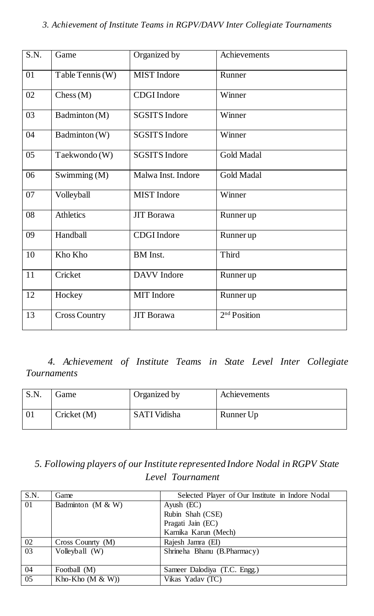| $\overline{S.N.}$ | Game                 | Organized by         | Achievements             |
|-------------------|----------------------|----------------------|--------------------------|
| $\overline{01}$   | Table Tennis (W)     | <b>MIST</b> Indore   | Runner                   |
| 02                | Chess(M)             | <b>CDGI</b> Indore   | Winner                   |
| 03                | Badminton (M)        | <b>SGSITS Indore</b> | Winner                   |
| 04                | Badminton (W)        | <b>SGSITS Indore</b> | Winner                   |
| 05                | Taekwondo (W)        | <b>SGSITS Indore</b> | <b>Gold Madal</b>        |
| 06                | Swimming (M)         | Malwa Inst. Indore   | <b>Gold Madal</b>        |
| 07                | Volleyball           | <b>MIST</b> Indore   | Winner                   |
| 08                | <b>Athletics</b>     | <b>JIT</b> Borawa    | Runner up                |
| 09                | Handball             | <b>CDGI</b> Indore   | Runner up                |
| 10                | Kho Kho              | <b>BM</b> Inst.      | Third                    |
| 11                | Cricket              | <b>DAVV</b> Indore   | Runner up                |
| 12                | Hockey               | <b>MIT</b> Indore    | Runner up                |
| 13                | <b>Cross Country</b> | <b>JIT</b> Borawa    | 2 <sup>nd</sup> Position |

*4. Achievement of Institute Teams in State Level Inter Collegiate Tournaments* 

| S.N. | Game        | Organized by        | Achievements |
|------|-------------|---------------------|--------------|
|      | Cricket (M) | <b>SATI Vidisha</b> | Runner Up    |

*5. Following players of our Institute represented Indore Nodal in RGPV State Level Tournament*

| S.N.            | Game                   | Selected Player of Our Institute in Indore Nodal |
|-----------------|------------------------|--------------------------------------------------|
| $\overline{01}$ | Badminton ( $M \& W$ ) | Ayush $(EC)$                                     |
|                 |                        | Rubin Shah (CSE)                                 |
|                 |                        | Pragati Jain (EC)                                |
|                 |                        | Karnika Karun (Mech)                             |
| 02              | Cross Country (M)      | Rajesh Jamra (EI)                                |
| 03              | Volleyball (W)         | Shrineha Bhanu (B.Pharmacy)                      |
| 04              | Football (M)           | Sameer Dalodiya (T.C. Engg.)                     |
| 05              | Kho-Kho $(M & W)$      | Vikas Yadav (TC)                                 |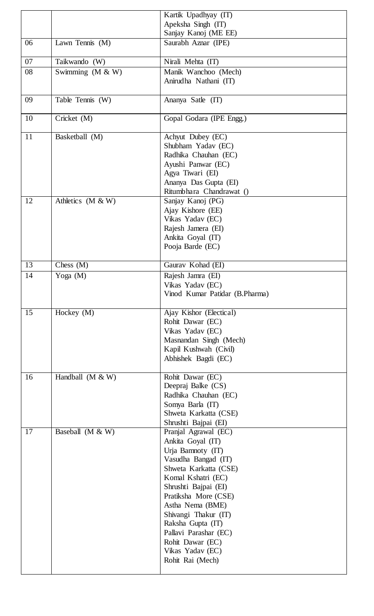|    |                     | Kartik Upadhyay (IT)                                                                                                                                                                                                                                                                                                                       |
|----|---------------------|--------------------------------------------------------------------------------------------------------------------------------------------------------------------------------------------------------------------------------------------------------------------------------------------------------------------------------------------|
|    |                     | Apeksha Singh (IT)                                                                                                                                                                                                                                                                                                                         |
|    |                     | Sanjay Kanoj (ME EE)                                                                                                                                                                                                                                                                                                                       |
| 06 | Lawn Tennis (M)     | Saurabh Aznar (IPE)                                                                                                                                                                                                                                                                                                                        |
| 07 | Taikwando (W)       | Nirali Mehta (IT)                                                                                                                                                                                                                                                                                                                          |
| 08 | Swimming (M & W)    | Manik Wanchoo (Mech)                                                                                                                                                                                                                                                                                                                       |
|    |                     | Anirudha Nathani (IT)                                                                                                                                                                                                                                                                                                                      |
| 09 | Table Tennis (W)    | Ananya Satle (IT)                                                                                                                                                                                                                                                                                                                          |
| 10 | Cricket (M)         | Gopal Godara (IPE Engg.)                                                                                                                                                                                                                                                                                                                   |
| 11 | Basketball (M)      | Achyut Dubey (EC)<br>Shubham Yadav (EC)<br>Radhika Chauhan (EC)<br>Ayushi Panwar (EC)<br>Agya Tiwari (EI)<br>Ananya Das Gupta (EI)<br>Ritumbhara Chandrawat ()                                                                                                                                                                             |
| 12 | Athletics $(M & W)$ | Sanjay Kanoj (PG)<br>Ajay Kishore (EE)<br>Vikas Yadav (EC)<br>Rajesh Jamera (EI)<br>Ankita Goyal (IT)<br>Pooja Barde (EC)                                                                                                                                                                                                                  |
| 13 | Chess $(M)$         | Gaurav Kohad (EI)                                                                                                                                                                                                                                                                                                                          |
| 14 | Yoga (M)            | Rajesh Jamra (EI)<br>Vikas Yadav (EC)<br>Vinod Kumar Patidar (B.Pharma)                                                                                                                                                                                                                                                                    |
| 15 | Hockey $(M)$        | Ajay Kishor (Electical)<br>Rohit Dawar (EC)<br>Vikas Yadav (EC)<br>Masnandan Singh (Mech)<br>Kapil Kushwah (Civil)<br>Abhishek Bagdi (EC)                                                                                                                                                                                                  |
| 16 | Handball $(M & W)$  | Rohit Dawar (EC)<br>Deepraj Balke (CS)<br>Radhika Chauhan (EC)<br>Somya Barla (IT)<br>Shweta Karkatta (CSE)<br>Shrushti Bajpai (EI)                                                                                                                                                                                                        |
| 17 | Baseball $(M & W)$  | Pranjal Agrawal (EC)<br>Ankita Goyal (IT)<br>Urja Bamnoty (IT)<br>Vasudha Bangad (IT)<br>Shweta Karkatta (CSE)<br>Komal Kshatri (EC)<br>Shrushti Bajpai (EI)<br>Pratiksha More (CSE)<br>Astha Nema (BME)<br>Shivangi Thakur (IT)<br>Raksha Gupta (IT)<br>Pallavi Parashar (EC)<br>Rohit Dawar (EC)<br>Vikas Yadav (EC)<br>Rohit Rai (Mech) |